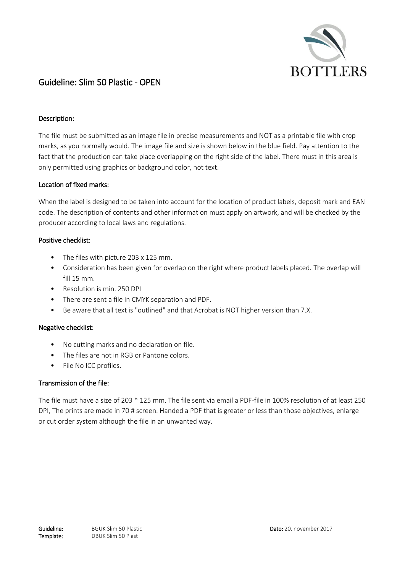

# Guideline: Slim 50 Plastic - OPEN

## Description:

The file must be submitted as an image file in precise measurements and NOT as a printable file with crop marks, as you normally would. The image file and size is shown below in the blue field. Pay attention to the fact that the production can take place overlapping on the right side of the label. There must in this area is only permitted using graphics or background color, not text.

#### Location of fixed marks:

When the label is designed to be taken into account for the location of product labels, deposit mark and EAN code. The description of contents and other information must apply on artwork, and will be checked by the producer according to local laws and regulations.

## Positive checklist:

- The files with picture 203 x 125 mm.
- Consideration has been given for overlap on the right where product labels placed. The overlap will fill 15 mm.
- Resolution is min. 250 DPI
- There are sent a file in CMYK separation and PDF.
- Be aware that all text is "outlined" and that Acrobat is NOT higher version than 7.X.

#### Negative checklist:

- No cutting marks and no declaration on file.
- The files are not in RGB or Pantone colors.
- File No ICC profiles.

## Transmission of the file:

The file must have a size of 203 \* 125 mm. The file sent via email a PDF-file in 100% resolution of at least 250 DPI, The prints are made in 70 # screen. Handed a PDF that is greater or less than those objectives, enlarge or cut order system although the file in an unwanted way.